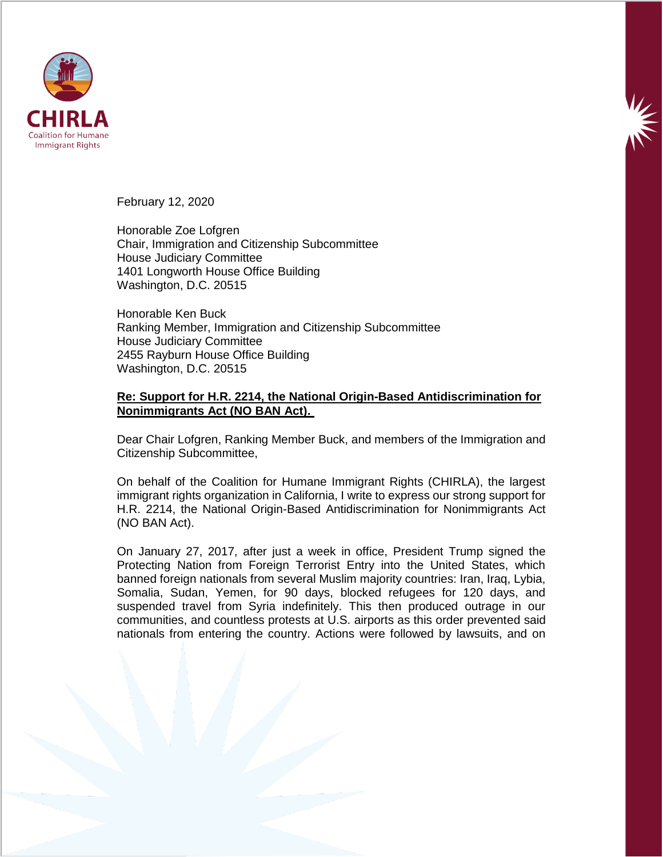

February 12, 2020

Honorable Zoe Lofgren Chair, Immigration and Citizenship Subcommittee House Judiciary Committee 1401 Longworth House Office Building Washington, D.C. 20515

Honorable Ken Buck Ranking Member, Immigration and Citizenship Subcommittee House Judiciary Committee 2455 Rayburn House Office Building Washington, D.C. 20515

## **Re: Support for H.R. 2214, the National Origin-Based Antidiscrimination for Nonimmigrants Act (NO BAN Act).**

Dear Chair Lofgren, Ranking Member Buck, and members of the Immigration and Citizenship Subcommittee,

On behalf of the Coalition for Humane Immigrant Rights (CHIRLA), the largest immigrant rights organization in California, I write to express our strong support for H.R. 2214, the National Origin-Based Antidiscrimination for Nonimmigrants Act (NO BAN Act).

On January 27, 2017, after just a week in office, President Trump signed the Protecting Nation from Foreign Terrorist Entry into the United States, which banned foreign nationals from several Muslim majority countries: Iran, Iraq, Lybia, Somalia, Sudan, Yemen, for 90 days, blocked refugees for 120 days, and suspended travel from Syria indefinitely. This then produced outrage in our communities, and countless protests at U.S. airports as this order prevented said nationals from entering the country. Actions were followed by lawsuits, and on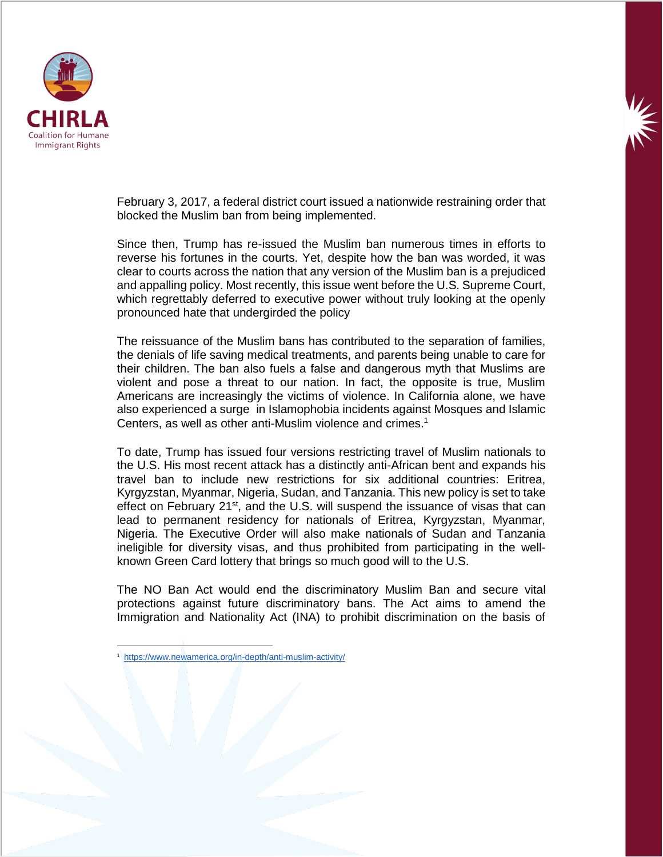

February 3, 2017, a federal district court issued a nationwide restraining order that blocked the Muslim ban from being implemented.

Since then, Trump has re-issued the Muslim ban numerous times in efforts to reverse his fortunes in the courts. Yet, despite how the ban was worded, it was clear to courts across the nation that any version of the Muslim ban is a prejudiced and appalling policy. Most recently, this issue went before the U.S. Supreme Court, which regrettably deferred to executive power without truly looking at the openly pronounced hate that undergirded the policy

The reissuance of the Muslim bans has contributed to the separation of families, the denials of life saving medical treatments, and parents being unable to care for their children. The ban also fuels a false and dangerous myth that Muslims are violent and pose a threat to our nation. In fact, the opposite is true, Muslim Americans are increasingly the victims of violence. In California alone, we have also experienced a surge in Islamophobia incidents against Mosques and Islamic Centers, as well as other anti-Muslim violence and crimes.<sup>1</sup>

To date, Trump has issued four versions restricting travel of Muslim nationals to the U.S. His most recent attack has a distinctly anti-African bent and expands his travel ban to include new restrictions for six additional countries: Eritrea, Kyrgyzstan, Myanmar, Nigeria, Sudan, and Tanzania. This new policy is set to take effect on February  $21^{st}$ , and the U.S. will suspend the issuance of visas that can lead to permanent residency for nationals of Eritrea, Kyrgyzstan, Myanmar, Nigeria. The Executive Order will also make nationals of Sudan and Tanzania ineligible for diversity visas, and thus prohibited from participating in the wellknown Green Card lottery that brings so much good will to the U.S.

The NO Ban Act would end the discriminatory Muslim Ban and secure vital protections against future discriminatory bans. The Act aims to amend the Immigration and Nationality Act (INA) to prohibit discrimination on the basis of

 $\overline{\phantom{a}}$ 

<sup>1</sup> <https://www.newamerica.org/in-depth/anti-muslim-activity/>